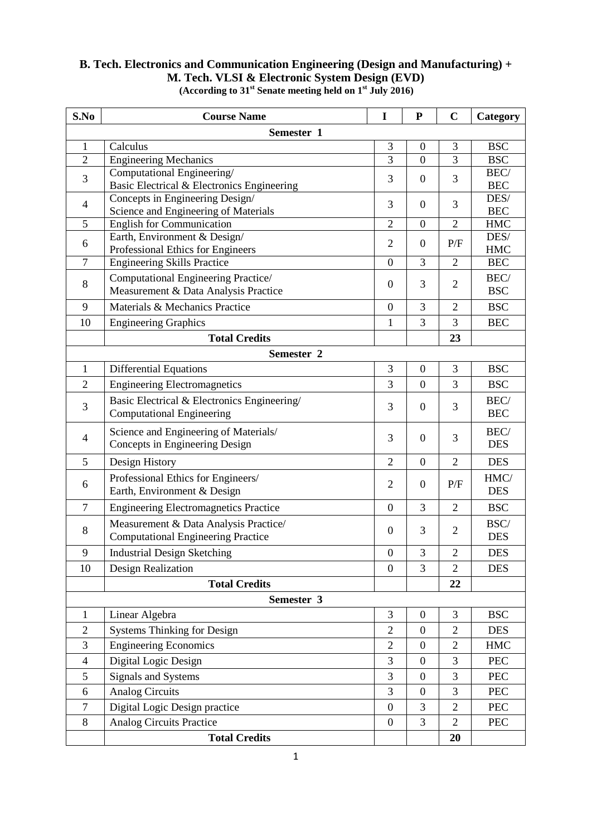## **B. Tech. Electronics and Communication Engineering (Design and Manufacturing) + M. Tech. VLSI & Electronic System Design (EVD)**

| S.No                     | <b>Course Name</b>                                                          | $\mathbf I$      | ${\bf P}$        | $\mathbf C$    | Category           |  |  |
|--------------------------|-----------------------------------------------------------------------------|------------------|------------------|----------------|--------------------|--|--|
| Semester 1               |                                                                             |                  |                  |                |                    |  |  |
| $\mathbf{1}$             | Calculus                                                                    | 3                | $\boldsymbol{0}$ | 3              | <b>BSC</b>         |  |  |
| $\overline{2}$           | Engineering Mechanics                                                       | $\overline{3}$   | $\overline{0}$   | $\overline{3}$ | <b>BSC</b>         |  |  |
| 3                        | Computational Engineering/<br>Basic Electrical & Electronics Engineering    | 3                | $\boldsymbol{0}$ | 3              | BEC/<br><b>BEC</b> |  |  |
|                          | Concepts in Engineering Design/                                             |                  |                  |                | DES/               |  |  |
| $\overline{4}$           | Science and Engineering of Materials                                        | 3                | $\mathbf{0}$     | 3              | <b>BEC</b>         |  |  |
| 5                        | <b>English for Communication</b>                                            | $\overline{2}$   | $\boldsymbol{0}$ | $\overline{2}$ | <b>HMC</b>         |  |  |
| 6                        | Earth, Environment & Design/                                                | $\overline{2}$   | $\mathbf{0}$     | P/F            | DES/               |  |  |
| $\tau$                   | Professional Ethics for Engineers<br><b>Engineering Skills Practice</b>     | $\overline{0}$   | 3                | $\overline{2}$ | HMC<br><b>BEC</b>  |  |  |
|                          |                                                                             |                  |                  |                |                    |  |  |
| $8\,$                    | Computational Engineering Practice/<br>Measurement & Data Analysis Practice | $\boldsymbol{0}$ | 3                | $\overline{2}$ | BEC/<br><b>BSC</b> |  |  |
| 9                        | Materials & Mechanics Practice                                              | $\overline{0}$   | 3                | $\overline{2}$ | <b>BSC</b>         |  |  |
| 10                       | <b>Engineering Graphics</b>                                                 | 1                | 3                | 3              | <b>BEC</b>         |  |  |
|                          | <b>Total Credits</b>                                                        |                  |                  | 23             |                    |  |  |
|                          | Semester 2                                                                  |                  |                  |                |                    |  |  |
| $\mathbf{1}$             | <b>Differential Equations</b>                                               | 3                | $\mathbf{0}$     | 3              | <b>BSC</b>         |  |  |
| $\overline{2}$           | <b>Engineering Electromagnetics</b>                                         | 3                | $\boldsymbol{0}$ | 3              | <b>BSC</b>         |  |  |
|                          | Basic Electrical & Electronics Engineering/                                 |                  | $\mathbf{0}$     | 3              | BEC/               |  |  |
| 3                        | <b>Computational Engineering</b>                                            | 3                |                  |                | <b>BEC</b>         |  |  |
|                          | Science and Engineering of Materials/                                       |                  |                  |                | BEC/               |  |  |
| $\overline{4}$           | Concepts in Engineering Design                                              | 3                | $\mathbf{0}$     | 3              | <b>DES</b>         |  |  |
| 5                        | Design History                                                              | $\overline{2}$   | $\boldsymbol{0}$ | $\overline{2}$ | <b>DES</b>         |  |  |
| 6                        | Professional Ethics for Engineers/                                          | $\overline{2}$   | $\mathbf{0}$     | P/F            | HMC/               |  |  |
|                          | Earth, Environment & Design                                                 |                  |                  |                | <b>DES</b>         |  |  |
| $\tau$                   | <b>Engineering Electromagnetics Practice</b>                                | $\overline{0}$   | 3                | $\overline{2}$ | <b>BSC</b>         |  |  |
| $8\,$                    | Measurement & Data Analysis Practice/                                       | $\mathbf{0}$     | 3                | $\overline{c}$ | BSC/               |  |  |
|                          | <b>Computational Engineering Practice</b>                                   |                  |                  |                | <b>DES</b>         |  |  |
| 9                        | <b>Industrial Design Sketching</b>                                          | $\boldsymbol{0}$ | 3                | $\overline{c}$ | <b>DES</b>         |  |  |
| 10                       | Design Realization                                                          | $\boldsymbol{0}$ | 3                | 2              | <b>DES</b>         |  |  |
|                          | <b>Total Credits</b>                                                        |                  |                  | 22             |                    |  |  |
| Semester 3               |                                                                             |                  |                  |                |                    |  |  |
| 1                        | Linear Algebra                                                              | 3                | $\boldsymbol{0}$ | 3              | <b>BSC</b>         |  |  |
| $\overline{2}$           | <b>Systems Thinking for Design</b>                                          | $\overline{2}$   | $\overline{0}$   | $\overline{2}$ | <b>DES</b>         |  |  |
| 3                        | <b>Engineering Economics</b>                                                | $\overline{2}$   | $\overline{0}$   | 2              | <b>HMC</b>         |  |  |
| $\overline{\mathcal{A}}$ | Digital Logic Design                                                        | 3                | $\mathbf{0}$     | 3              | <b>PEC</b>         |  |  |
| 5                        | Signals and Systems                                                         | 3                | $\boldsymbol{0}$ | 3              | <b>PEC</b>         |  |  |
| 6                        | <b>Analog Circuits</b>                                                      | 3                | $\mathbf{0}$     | $\overline{3}$ | <b>PEC</b>         |  |  |
| $\tau$                   | Digital Logic Design practice                                               | $\boldsymbol{0}$ | 3                | $\overline{2}$ | <b>PEC</b>         |  |  |
| $8\,$                    | Analog Circuits Practice                                                    | $\boldsymbol{0}$ | 3                | $\overline{2}$ | <b>PEC</b>         |  |  |
|                          | <b>Total Credits</b>                                                        |                  |                  | 20             |                    |  |  |

**(According to 31st Senate meeting held on 1st July 2016)**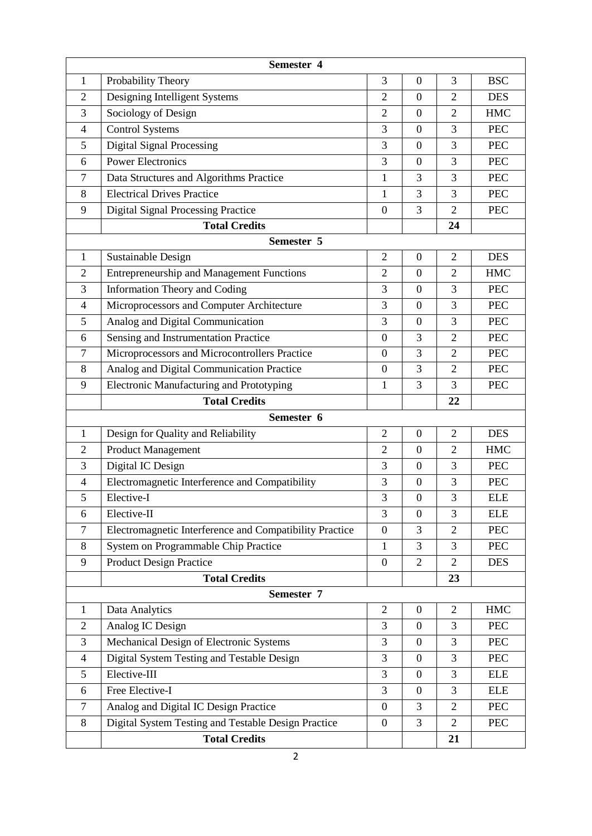| Semester 4     |                                                         |                  |                  |                |            |  |  |
|----------------|---------------------------------------------------------|------------------|------------------|----------------|------------|--|--|
| 1              | Probability Theory                                      | 3                | $\mathbf{0}$     | 3              | <b>BSC</b> |  |  |
| $\overline{2}$ | Designing Intelligent Systems                           | $\overline{2}$   | $\boldsymbol{0}$ | $\overline{2}$ | <b>DES</b> |  |  |
| 3              | Sociology of Design                                     | $\overline{2}$   | $\boldsymbol{0}$ | $\overline{2}$ | <b>HMC</b> |  |  |
| $\overline{4}$ | <b>Control Systems</b>                                  | 3                | $\mathbf{0}$     | 3              | <b>PEC</b> |  |  |
| 5              | <b>Digital Signal Processing</b>                        | 3                | $\mathbf{0}$     | 3              | <b>PEC</b> |  |  |
| 6              | <b>Power Electronics</b>                                | 3                | $\overline{0}$   | 3              | <b>PEC</b> |  |  |
| $\overline{7}$ | Data Structures and Algorithms Practice                 | $\mathbf{1}$     | 3                | 3              | <b>PEC</b> |  |  |
| 8              | <b>Electrical Drives Practice</b>                       | 1                | 3                | 3              | <b>PEC</b> |  |  |
| 9              | <b>Digital Signal Processing Practice</b>               | $\boldsymbol{0}$ | 3                | $\overline{2}$ | <b>PEC</b> |  |  |
|                | <b>Total Credits</b>                                    |                  |                  | 24             |            |  |  |
|                | Semester 5                                              |                  |                  |                |            |  |  |
| 1              | <b>Sustainable Design</b>                               | $\overline{2}$   | $\mathbf{0}$     | $\overline{2}$ | <b>DES</b> |  |  |
| $\overline{2}$ | <b>Entrepreneurship and Management Functions</b>        | $\overline{2}$   | $\overline{0}$   | $\overline{2}$ | <b>HMC</b> |  |  |
| 3              | <b>Information Theory and Coding</b>                    | 3                | $\mathbf{0}$     | 3              | <b>PEC</b> |  |  |
| 4              | Microprocessors and Computer Architecture               | 3                | $\mathbf{0}$     | 3              | <b>PEC</b> |  |  |
| 5              | Analog and Digital Communication                        | 3                | $\boldsymbol{0}$ | 3              | <b>PEC</b> |  |  |
| 6              | Sensing and Instrumentation Practice                    | $\boldsymbol{0}$ | 3                | $\overline{2}$ | <b>PEC</b> |  |  |
| 7              | Microprocessors and Microcontrollers Practice           | $\boldsymbol{0}$ | 3                | $\overline{2}$ | <b>PEC</b> |  |  |
| 8              | Analog and Digital Communication Practice               | $\mathbf{0}$     | 3                | $\overline{2}$ | <b>PEC</b> |  |  |
| 9              | <b>Electronic Manufacturing and Prototyping</b>         | 1                | 3                | 3              | <b>PEC</b> |  |  |
|                | <b>Total Credits</b>                                    |                  |                  | 22             |            |  |  |
|                | Semester 6                                              |                  |                  |                |            |  |  |
| 1              | Design for Quality and Reliability                      | $\overline{2}$   | $\overline{0}$   | $\overline{2}$ | <b>DES</b> |  |  |
| $\overline{2}$ | <b>Product Management</b>                               | $\overline{2}$   | $\boldsymbol{0}$ | $\overline{2}$ | <b>HMC</b> |  |  |
| 3              | Digital IC Design                                       | 3                | $\overline{0}$   | 3              | <b>PEC</b> |  |  |
| $\overline{4}$ | Electromagnetic Interference and Compatibility          | 3                | $\mathbf{0}$     | 3              | <b>PEC</b> |  |  |
| $\mathfrak s$  | Elective-I                                              | 3                | $\boldsymbol{0}$ | 3              | <b>ELE</b> |  |  |
| 6              | Elective-II                                             | 3                | $\boldsymbol{0}$ | 3              | <b>ELE</b> |  |  |
| $\tau$         | Electromagnetic Interference and Compatibility Practice | $\boldsymbol{0}$ | 3                | $\overline{2}$ | <b>PEC</b> |  |  |
| 8              | System on Programmable Chip Practice                    | $\mathbf{1}$     | 3                | 3              | <b>PEC</b> |  |  |
| 9              | <b>Product Design Practice</b>                          | $\boldsymbol{0}$ | $\mathbf{2}$     | $\overline{2}$ | <b>DES</b> |  |  |
|                | <b>Total Credits</b>                                    |                  |                  | 23             |            |  |  |
| Semester 7     |                                                         |                  |                  |                |            |  |  |
| $\mathbf{1}$   | Data Analytics                                          | $\overline{2}$   | $\boldsymbol{0}$ | $\overline{2}$ | <b>HMC</b> |  |  |
| $\overline{2}$ | Analog IC Design                                        | 3                | $\boldsymbol{0}$ | 3              | <b>PEC</b> |  |  |
| 3              | Mechanical Design of Electronic Systems                 | 3                | $\boldsymbol{0}$ | 3              | <b>PEC</b> |  |  |
| $\overline{4}$ | Digital System Testing and Testable Design              | 3                | $\overline{0}$   | 3              | <b>PEC</b> |  |  |
| 5              | Elective-III                                            | 3                | $\boldsymbol{0}$ | 3              | <b>ELE</b> |  |  |
| 6              | Free Elective-I                                         | 3                | $\overline{0}$   | 3              | <b>ELE</b> |  |  |
| $\tau$         | Analog and Digital IC Design Practice                   | $\boldsymbol{0}$ | 3                | $\overline{2}$ | <b>PEC</b> |  |  |
| 8              | Digital System Testing and Testable Design Practice     | $\boldsymbol{0}$ | 3                | $\overline{2}$ | <b>PEC</b> |  |  |
|                | <b>Total Credits</b>                                    |                  |                  | 21             |            |  |  |